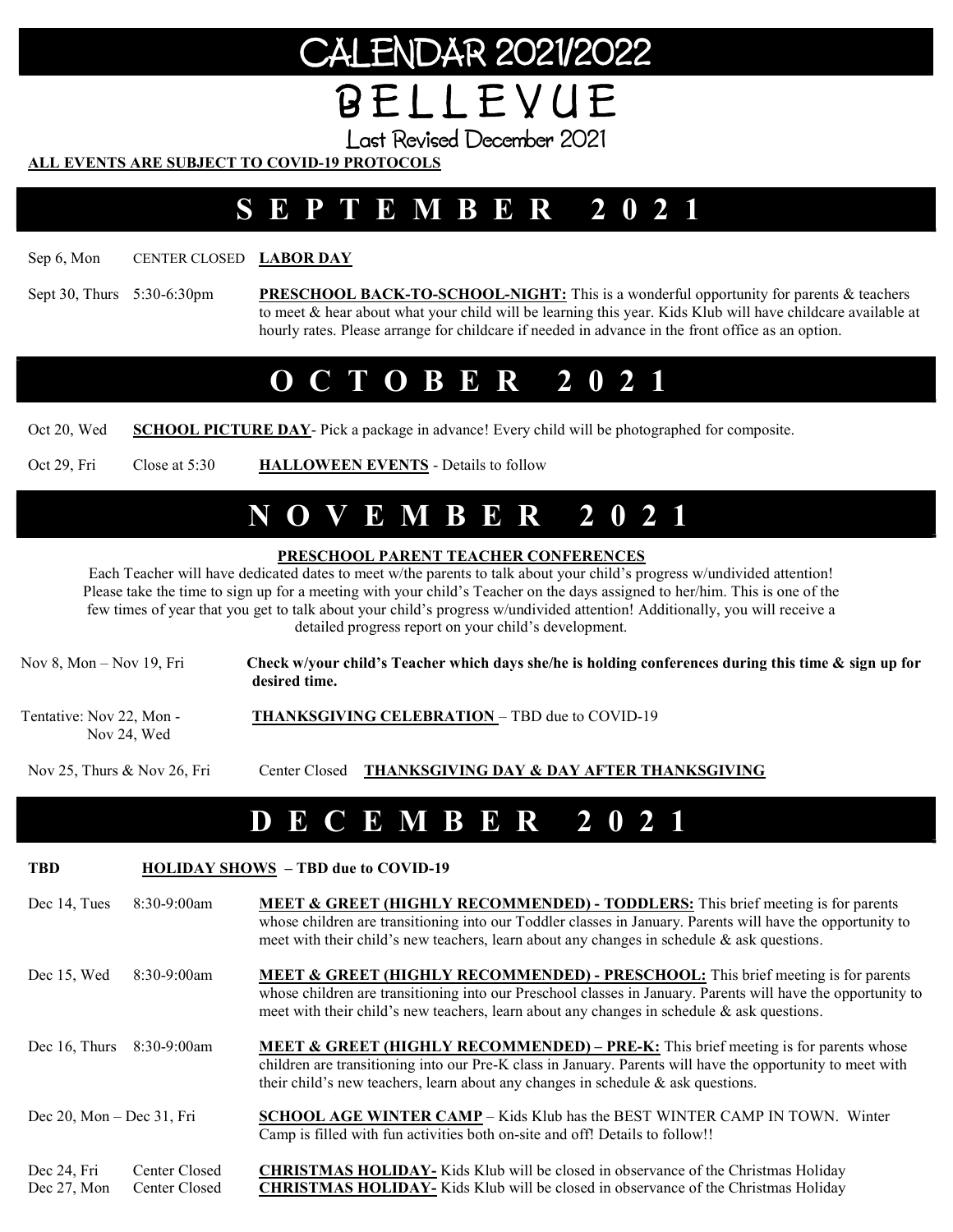# CALENDAR 2021/2022 B E L L E V U E

Last Revised December 2021

#### ALL EVENTS ARE SUBJECT TO COVID-19 PROTOCOLS

### S E P T E M B E R 2 0 2 1

Sep 6, Mon CENTER CLOSED **LABOR DAY** 

Sept 30, Thurs 5:30-6:30pm PRESCHOOL BACK-TO-SCHOOL-NIGHT: This is a wonderful opportunity for parents & teachers to meet & hear about what your child will be learning this year. Kids Klub will have childcare available at hourly rates. Please arrange for childcare if needed in advance in the front office as an option.

## O C T O B E R 2 0 2 1

Oct 20, Wed SCHOOL PICTURE DAY- Pick a package in advance! Every child will be photographed for composite.

Oct 29, Fri Close at 5:30 HALLOWEEN EVENTS - Details to follow

### N O V E M B E R 2 0 2 1

#### PRESCHOOL PARENT TEACHER CONFERENCES

Each Teacher will have dedicated dates to meet w/the parents to talk about your child's progress w/undivided attention! Please take the time to sign up for a meeting with your child's Teacher on the days assigned to her/him. This is one of the few times of year that you get to talk about your child's progress w/undivided attention! Additionally, you will receive a detailed progress report on your child's development.

Nov 8, Mon – Nov 19, Fri Check w/your child's Teacher which days she/he is holding conferences during this time  $\&$  sign up for desired time. Tentative: Nov 22, Mon - THANKSGIVING CELEBRATION – TBD due to COVID-19 Nov 24, Wed

Nov 25, Thurs & Nov 26, Fri Center Closed THANKSGIVING DAY & DAY AFTER THANKSGIVING

### D E C E M B E R 2 0 2 1

TBD **HOLIDAY SHOWS** - TBD due to COVID-19

| Dec 14. Tues $8:30-9:00$ am |  | <b>MEET &amp; GREET (HIGHLY RECOMMENDED) - TODDLERS:</b> This brief meeting is for parents                 |
|-----------------------------|--|------------------------------------------------------------------------------------------------------------|
|                             |  | whose children are transitioning into our Toddler classes in January. Parents will have the opportunity to |
|                             |  | meet with their child's new teachers, learn about any changes in schedule $\&$ ask questions.              |

- Dec 15, Wed 8:30-9:00am MEET & GREET (HIGHLY RECOMMENDED) PRESCHOOL: This brief meeting is for parents whose children are transitioning into our Preschool classes in January. Parents will have the opportunity to meet with their child's new teachers, learn about any changes in schedule  $\&$  ask questions.
- Dec 16, Thurs 8:30-9:00am MEET & GREET (HIGHLY RECOMMENDED) PRE-K: This brief meeting is for parents whose children are transitioning into our Pre-K class in January. Parents will have the opportunity to meet with their child's new teachers, learn about any changes in schedule & ask questions.
- Dec 20, Mon Dec 31, Fri **SCHOOL AGE WINTER CAMP** Kids Klub has the BEST WINTER CAMP IN TOWN. Winter Camp is filled with fun activities both on-site and off! Details to follow!!
- Dec 24, Fri Center Closed CHRISTMAS HOLIDAY- Kids Klub will be closed in observance of the Christmas Holiday Dec 27, Mon Center Closed **CHRISTMAS HOLIDAY**- Kids Klub will be closed in observance of the Christmas Holiday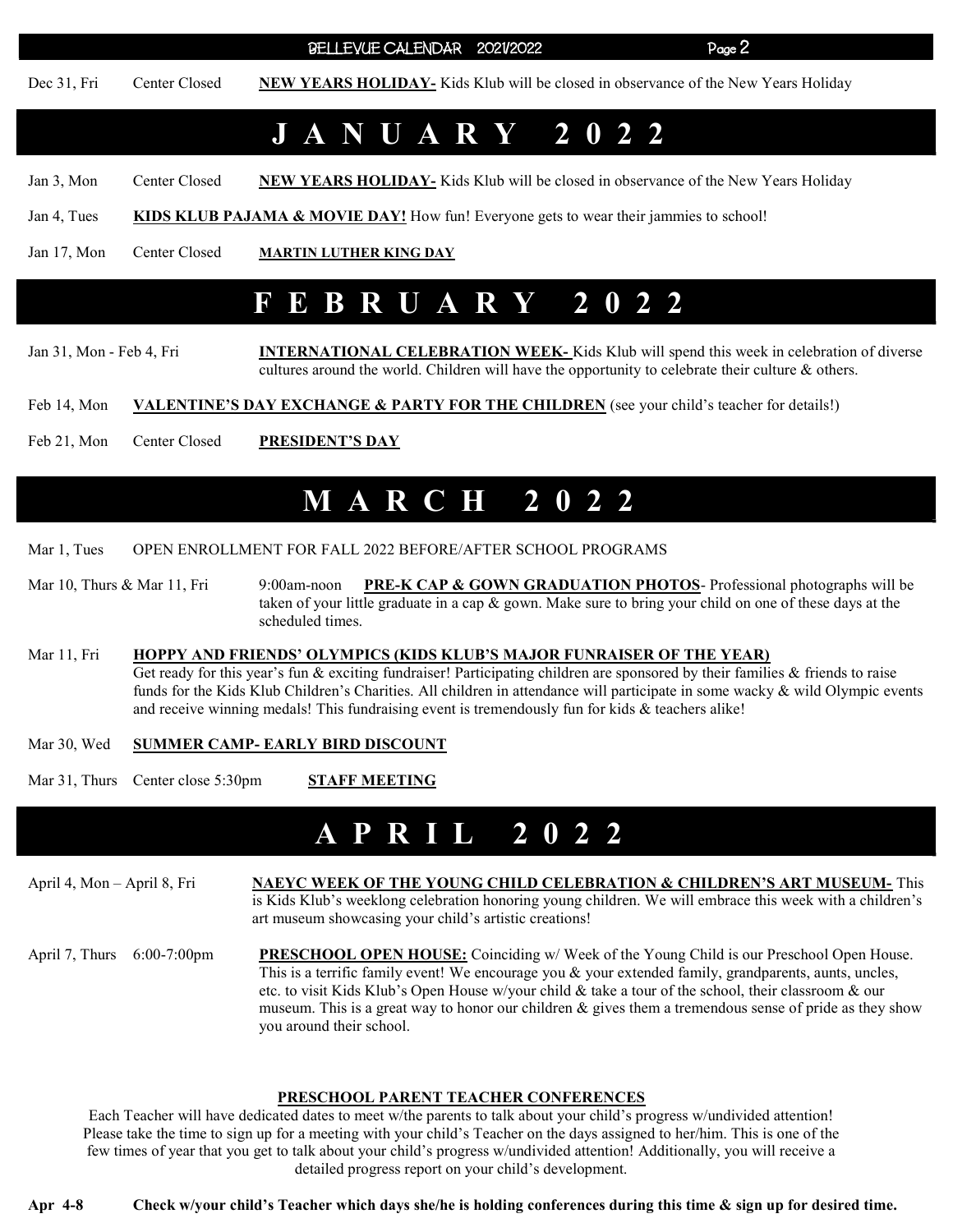BELLEVUE CALENDAR 2021/2022 Page 2

Dec 31, Fri Center Closed NEW YEARS HOLIDAY- Kids Klub will be closed in observance of the New Years Holiday

### J A N U A R Y 2 0 2 2

Jan 3, Mon Center Closed NEW YEARS HOLIDAY- Kids Klub will be closed in observance of the New Years Holiday

Jan 4, Tues KIDS KLUB PAJAMA & MOVIE DAY! How fun! Everyone gets to wear their jammies to school!

Jan 17, Mon Center Closed MARTIN LUTHER KING DAY

### F E B R U A R Y 2 0 2 2

Jan 31, Mon - Feb 4, Fri **INTERNATIONAL CELEBRATION WEEK-** Kids Klub will spend this week in celebration of diverse cultures around the world. Children will have the opportunity to celebrate their culture & others.

Feb 14, Mon VALENTINE'S DAY EXCHANGE & PARTY FOR THE CHILDREN (see your child's teacher for details!)

Feb 21, Mon Center Closed PRESIDENT'S DAY

### M A R C H 2 0 2 2

Mar 1, Tues OPEN ENROLLMENT FOR FALL 2022 BEFORE/AFTER SCHOOL PROGRAMS

Mar 10, Thurs & Mar 11, Fri 9:00am-noon PRE-K CAP & GOWN GRADUATION PHOTOS- Professional photographs will be taken of your little graduate in a cap & gown. Make sure to bring your child on one of these days at the scheduled times.

#### Mar 11, Fri HOPPY AND FRIENDS' OLYMPICS (KIDS KLUB'S MAJOR FUNRAISER OF THE YEAR) Get ready for this year's fun  $\&$  exciting fundraiser! Participating children are sponsored by their families  $\&$  friends to raise funds for the Kids Klub Children's Charities. All children in attendance will participate in some wacky & wild Olympic events and receive winning medals! This fundraising event is tremendously fun for kids & teachers alike!

#### Mar 30, Wed SUMMER CAMP- EARLY BIRD DISCOUNT

Mar 31, Thurs Center close 5:30pm STAFF MEETING

### **P R I L 2 0 2 2**

April 4, Mon – April 8, Fri NAEYC WEEK OF THE YOUNG CHILD CELEBRATION & CHILDREN'S ART MUSEUM- This is Kids Klub's weeklong celebration honoring young children. We will embrace this week with a children's art museum showcasing your child's artistic creations! April 7, Thurs 6:00-7:00pm PRESCHOOL OPEN HOUSE: Coinciding w/ Week of the Young Child is our Preschool Open House. This is a terrific family event! We encourage you & your extended family, grandparents, aunts, uncles, etc. to visit Kids Klub's Open House w/your child & take a tour of the school, their classroom & our museum. This is a great way to honor our children  $\&$  gives them a tremendous sense of pride as they show you around their school.

#### PRESCHOOL PARENT TEACHER CONFERENCES

Each Teacher will have dedicated dates to meet w/the parents to talk about your child's progress w/undivided attention! Please take the time to sign up for a meeting with your child's Teacher on the days assigned to her/him. This is one of the few times of year that you get to talk about your child's progress w/undivided attention! Additionally, you will receive a detailed progress report on your child's development.

Apr 4-8 Check w/your child's Teacher which days she/he is holding conferences during this time & sign up for desired time.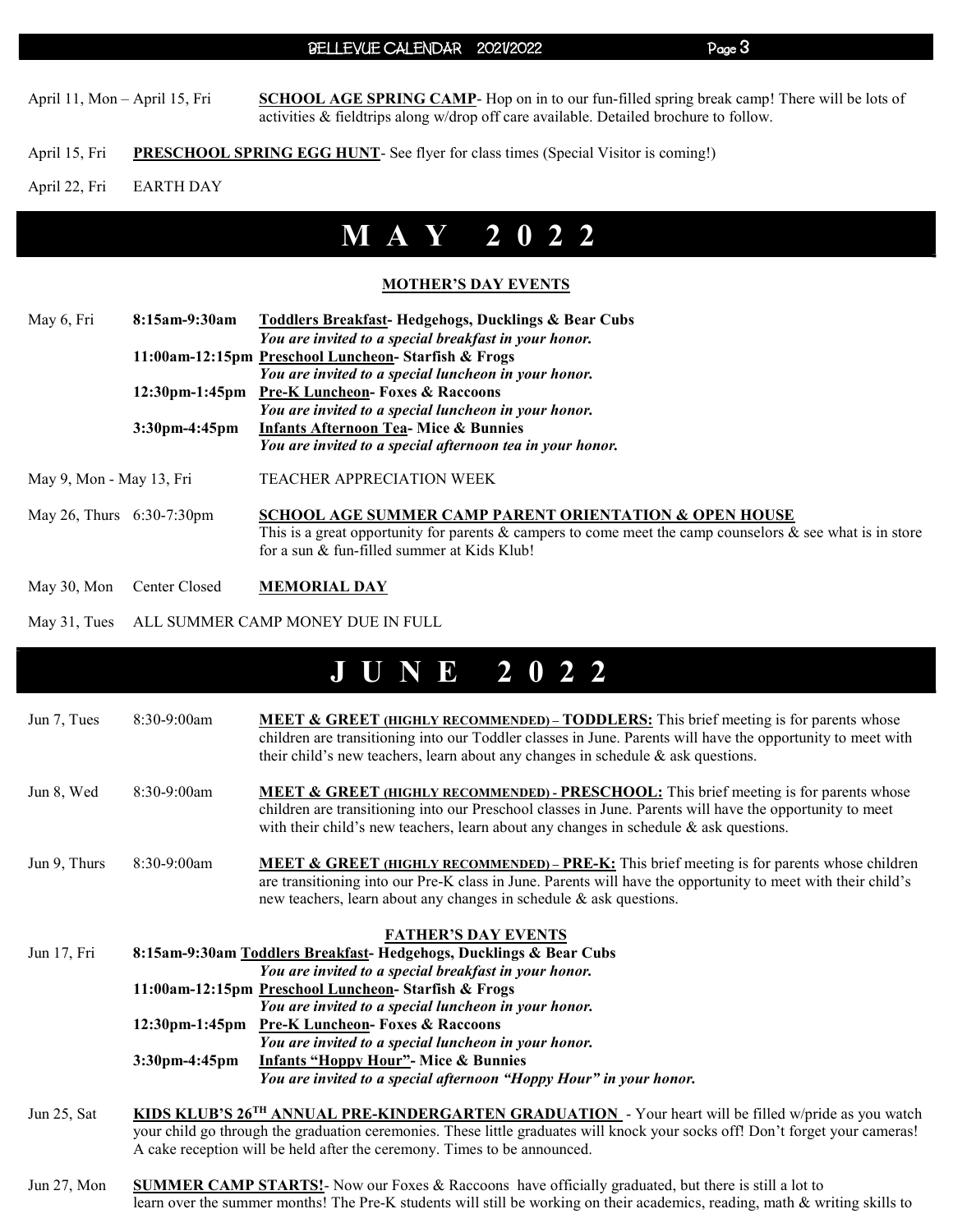#### BELLEVUE CALENDAR 2021/2022 Page 3

April 11, Mon – April 15, Fri SCHOOL AGE SPRING CAMP- Hop on in to our fun-filled spring break camp! There will be lots of activities & fieldtrips along w/drop off care available. Detailed brochure to follow.

- April 15, Fri PRESCHOOL SPRING EGG HUNT- See flyer for class times (Special Visitor is coming!)
- April 22, Fri EARTH DAY

## M A Y 2 0 2 2

#### MOTHER'S DAY EVENTS

| May 6, Fri                   | 8:15am-9:30am                                                      | Toddlers Breakfast-Hedgehogs, Ducklings & Bear Cubs                                                                                                                                                                           |
|------------------------------|--------------------------------------------------------------------|-------------------------------------------------------------------------------------------------------------------------------------------------------------------------------------------------------------------------------|
|                              |                                                                    | You are invited to a special breakfast in your honor.                                                                                                                                                                         |
|                              |                                                                    | 11:00am-12:15pm Preschool Luncheon- Starfish & Frogs                                                                                                                                                                          |
|                              |                                                                    | You are invited to a special luncheon in your honor.                                                                                                                                                                          |
|                              | $3:30$ pm-4:45pm                                                   | 12:30pm-1:45pm Pre-K Luncheon- Foxes & Raccoons                                                                                                                                                                               |
|                              |                                                                    | You are invited to a special luncheon in your honor.                                                                                                                                                                          |
|                              |                                                                    | <b>Infants Afternoon Tea- Mice &amp; Bunnies</b>                                                                                                                                                                              |
|                              |                                                                    | You are invited to a special afternoon tea in your honor.                                                                                                                                                                     |
| May 9, Mon - May 13, Fri     |                                                                    | <b>TEACHER APPRECIATION WEEK</b>                                                                                                                                                                                              |
| May 26, Thurs $6:30-7:30$ pm |                                                                    | <b>SCHOOL AGE SUMMER CAMP PARENT ORIENTATION &amp; OPEN HOUSE</b><br>This is a great opportunity for parents & campers to come meet the camp counselors & see what is in store<br>for a sun & fun-filled summer at Kids Klub! |
|                              | $\mathcal{M}$ 20 $\mathcal{M}$ $\alpha$ $\beta$ $\alpha$ $\beta$ 1 | <b>MEMADIAL BAV</b>                                                                                                                                                                                                           |

- May 30, Mon Center Closed MEMORIAL DAY
- May 31, Tues ALL SUMMER CAMP MONEY DUE IN FULL

### J U N E 2 0 2 2

| Jun 7, Tues  | 8:30-9:00am                                         | <b>MEET &amp; GREET (HIGHLY RECOMMENDED) – TODDLERS:</b> This brief meeting is for parents whose<br>children are transitioning into our Toddler classes in June. Parents will have the opportunity to meet with<br>their child's new teachers, learn about any changes in schedule & ask questions.       |  |
|--------------|-----------------------------------------------------|-----------------------------------------------------------------------------------------------------------------------------------------------------------------------------------------------------------------------------------------------------------------------------------------------------------|--|
| Jun 8, Wed   | $8:30-9:00am$                                       | <b>MEET &amp; GREET (HIGHLY RECOMMENDED) - PRESCHOOL:</b> This brief meeting is for parents whose<br>children are transitioning into our Preschool classes in June. Parents will have the opportunity to meet<br>with their child's new teachers, learn about any changes in schedule $\&$ ask questions. |  |
| Jun 9, Thurs | 8:30-9:00am                                         | <b>MEET &amp; GREET (HIGHLY RECOMMENDED) – PRE-K:</b> This brief meeting is for parents whose children<br>are transitioning into our Pre-K class in June. Parents will have the opportunity to meet with their child's<br>new teachers, learn about any changes in schedule $\&$ ask questions.           |  |
|              |                                                     | <b>FATHER'S DAY EVENTS</b>                                                                                                                                                                                                                                                                                |  |
| Jun 17, Fri  |                                                     | 8:15am-9:30am Toddlers Breakfast-Hedgehogs, Ducklings & Bear Cubs                                                                                                                                                                                                                                         |  |
|              |                                                     | You are invited to a special breakfast in your honor.                                                                                                                                                                                                                                                     |  |
|              | 11:00am-12:15pm Preschool Luncheon-Starfish & Frogs |                                                                                                                                                                                                                                                                                                           |  |
|              |                                                     | You are invited to a special luncheon in your honor.                                                                                                                                                                                                                                                      |  |
|              |                                                     | 12:30pm-1:45pm Pre-K Luncheon- Foxes & Raccoons                                                                                                                                                                                                                                                           |  |
|              |                                                     | You are invited to a special luncheon in your honor.                                                                                                                                                                                                                                                      |  |
|              | $3:30$ pm-4:45pm                                    | <b>Infants "Hoppy Hour"</b> - Mice & Bunnies                                                                                                                                                                                                                                                              |  |
|              |                                                     | You are invited to a special afternoon "Hoppy Hour" in your honor.                                                                                                                                                                                                                                        |  |
| Jun 25, Sat  |                                                     | KIDS KLUB'S 26 <sup>TH</sup> ANNUAL PRE-KINDERGARTEN GRADUATION - Your heart will be filled w/pride as you watch<br>vous child go through the graduation examenies. These little graduates will knock your socks offl Den't forget your examence                                                          |  |

- your child go through the graduation ceremonies. These little graduates will knock your socks off! Don't forget your cameras! A cake reception will be held after the ceremony. Times to be announced.
- Jun 27, Mon SUMMER CAMP STARTS!- Now our Foxes & Raccoons have officially graduated, but there is still a lot to learn over the summer months! The Pre-K students will still be working on their academics, reading, math & writing skills to